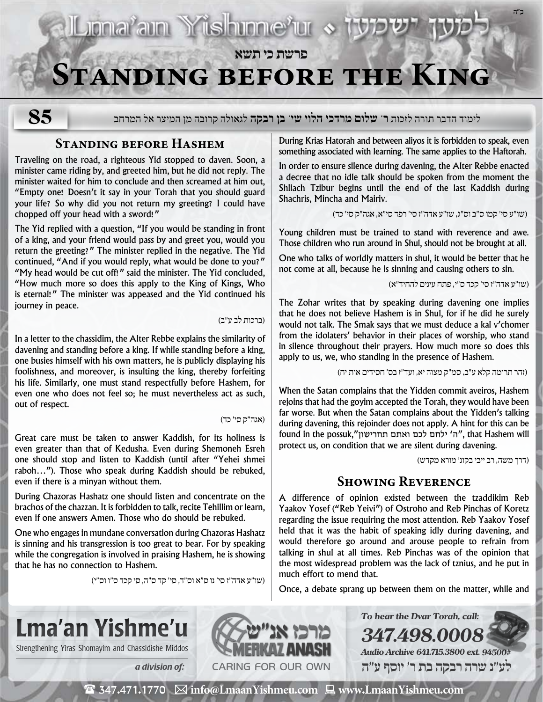## **פרשת כי תשא**

- IL Joniar ann Mishunne<sup>x</sup>iur &

# **Standing before the King**

**85**

לימוד הדבר תורה לזכות **ר' שלום מרדכי הלוי שי' בן רבקה** לגאולה קרובה מן המיצר אל המרחב

#### **Standing before Hashem**

Traveling on the road, a righteous Yid stopped to daven. Soon, a minister came riding by, and greeted him, but he did not reply. The minister waited for him to conclude and then screamed at him out, "Empty one! Doesn't it say in your Torah that you should guard your life? So why did you not return my greeting? I could have chopped off your head with a sword!"

The Yid replied with a question, "If you would be standing in front of a king, and your friend would pass by and greet you, would you return the greeting?" The minister replied in the negative. The Yid continued, "And if you would reply, what would be done to you?" "My head would be cut off!" said the minister. The Yid concluded, "How much more so does this apply to the King of Kings, Who is eternal!" The minister was appeased and the Yid continued his journey in peace.

)ברכות לב ע״ב(

In a letter to the chassidim, the Alter Rebbe explains the similarity of davening and standing before a king. If while standing before a king, one busies himself with his own matters, he is publicly displaying his foolishness, and moreover, is insulting the king, thereby forfeiting his life. Similarly, one must stand respectfully before Hashem, for even one who does not feel so; he must nevertheless act as such, out of respect.

(אגה"ק סי' כד)

Great care must be taken to answer Kaddish, for its holiness is even greater than that of Kedusha. Even during Shemoneh Esreh one should stop and listen to Kaddish (until after "Yehei shmei raboh…"). Those who speak during Kaddish should be rebuked, even if there is a minyan without them.

During Chazoras Hashatz one should listen and concentrate on the brachos of the chazzan. It is forbidden to talk, recite Tehillim or learn, even if one answers Amen. Those who do should be rebuked.

One who engages in mundane conversation during Chazoras Hashatz is sinning and his transgression is too great to bear. For by speaking while the congregation is involved in praising Hashem, he is showing that he has no connection to Hashem.

)שו״ע אדה״ז סי׳ נו ס״א וס״ד, סי׳ קד ס״ה, סי קכד ס״ו וס״י(

During Krias Hatorah and between aliyos it is forbidden to speak, even something associated with learning. The same applies to the Haftorah.

In order to ensure silence during davening, the Alter Rebbe enacted a decree that no idle talk should be spoken from the moment the Shliach Tzibur begins until the end of the last Kaddish during Shachris, Mincha and Mairiv.

)שו״ע סי׳ קמו ס״ב וס״ג, שו״ע אדה״ז סי׳ רפד סי״א, אגה״ק סי׳ כד(

Young children must be trained to stand with reverence and awe. Those children who run around in Shul, should not be brought at all.

One who talks of worldly matters in shul, it would be better that he not come at all, because he is sinning and causing others to sin.

)שו״ע אדה״ז סי׳ קכד ס״י, פתח עינים להחיד״א(

**ב"ה**

The Zohar writes that by speaking during davening one implies that he does not believe Hashem is in Shul, for if he did he surely would not talk. The Smak says that we must deduce a kal v'chomer from the idolaters' behavior in their places of worship, who stand in silence throughout their prayers. How much more so does this apply to us, we, who standing in the presence of Hashem.

)זהר תרומה קלא ע״ב, סמ״ק מצוה יא, ועד״ז בס׳ חסידים אות יח(

When the Satan complains that the Yidden commit aveiros, Hashem rejoins that had the goyim accepted the Torah, they would have been far worse. But when the Satan complains about the Yidden's talking during davening, this rejoinder does not apply. A hint for this can be found in the possuk,"תחרישון ואתם לכם ילחם' ה", that Hashem will protect us, on condition that we are silent during davening.

)דרך משה, רב ייבי בקונ׳ מורא מקדש(

### **Showing Reverence**

A difference of opinion existed between the tzaddikim Reb Yaakov Yosef ("Reb Yeivi") of Ostroho and Reb Pinchas of Koretz regarding the issue requiring the most attention. Reb Yaakov Yosef held that it was the habit of speaking idly during davening, and would therefore go around and arouse people to refrain from talking in shul at all times. Reb Pinchas was of the opinion that the most widespread problem was the lack of tznius, and he put in much effort to mend that.

Once, a debate sprang up between them on the matter, while and

**To hear the Dvar Torah, call:**

**Audio Archive 641.715.3800 ext. 94500# לע"נ שרה רבקה בת ר׳ יוסף ע"ה**

**347.498.0008**



Strengthening Yiras Shomayim and Chassidishe Middos



 $\mathbf{\mathcal{F}}$  347.471.1770  $\boxtimes$  info@LmaanYishmeu.com  $\mathbf{\mathcal{F}}$  www.LmaanYishmeu.com